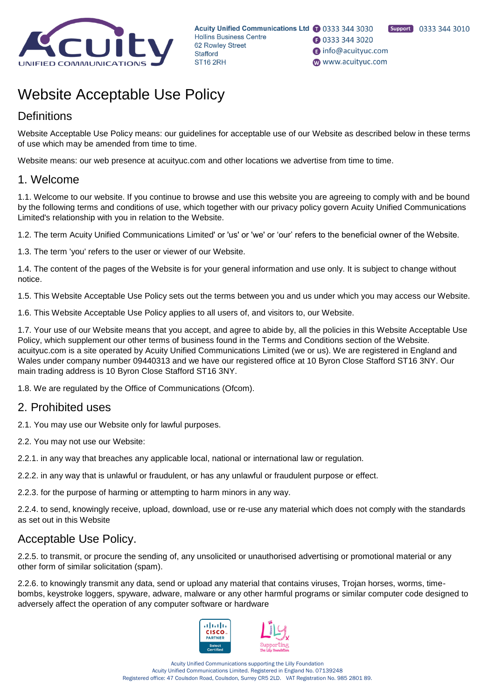

# Website Acceptable Use Policy

### **Definitions**

Website Acceptable Use Policy means: our guidelines for acceptable use of our Website as described below in these terms of use which may be amended from time to time.

Website means: our web presence at acuityuc.com and other locations we advertise from time to time.

#### 1. Welcome

1.1. Welcome to our website. If you continue to browse and use this website you are agreeing to comply with and be bound by the following terms and conditions of use, which together with our privacy policy govern Acuity Unified Communications Limited's relationship with you in relation to the Website.

1.2. The term Acuity Unified Communications Limited' or 'us' or 'we' or 'our' refers to the beneficial owner of the Website.

1.3. The term 'you' refers to the user or viewer of our Website.

1.4. The content of the pages of the Website is for your general information and use only. It is subject to change without notice.

1.5. This Website Acceptable Use Policy sets out the terms between you and us under which you may access our Website.

1.6. This Website Acceptable Use Policy applies to all users of, and visitors to, our Website.

1.7. Your use of our Website means that you accept, and agree to abide by, all the policies in this Website Acceptable Use Policy, which supplement our other terms of business found in the Terms and Conditions section of the Website. acuityuc.com is a site operated by Acuity Unified Communications Limited (we or us). We are registered in England and Wales under company number 09440313 and we have our registered office at 10 Byron Close Stafford ST16 3NY. Our main trading address is 10 Byron Close Stafford ST16 3NY.

1.8. We are regulated by the Office of Communications (Ofcom).

#### 2. Prohibited uses

2.1. You may use our Website only for lawful purposes.

2.2. You may not use our Website:

2.2.1. in any way that breaches any applicable local, national or international law or regulation.

2.2.2. in any way that is unlawful or fraudulent, or has any unlawful or fraudulent purpose or effect.

2.2.3. for the purpose of harming or attempting to harm minors in any way.

2.2.4. to send, knowingly receive, upload, download, use or re-use any material which does not comply with the standards as set out in this Website

#### Acceptable Use Policy.

2.2.5. to transmit, or procure the sending of, any unsolicited or unauthorised advertising or promotional material or any other form of similar solicitation (spam).

2.2.6. to knowingly transmit any data, send or upload any material that contains viruses, Trojan horses, worms, timebombs, keystroke loggers, spyware, adware, malware or any other harmful programs or similar computer code designed to adversely affect the operation of any computer software or hardware





Acuity Unified Communications supporting the Lilly Foundation Acuity Unified Communications Limited. Registered in England No. 07139248 Registered office: 47 Coulsdon Road, Coulsdon, Surrey CR5 2LD. VAT Registration No. 985 2801 89.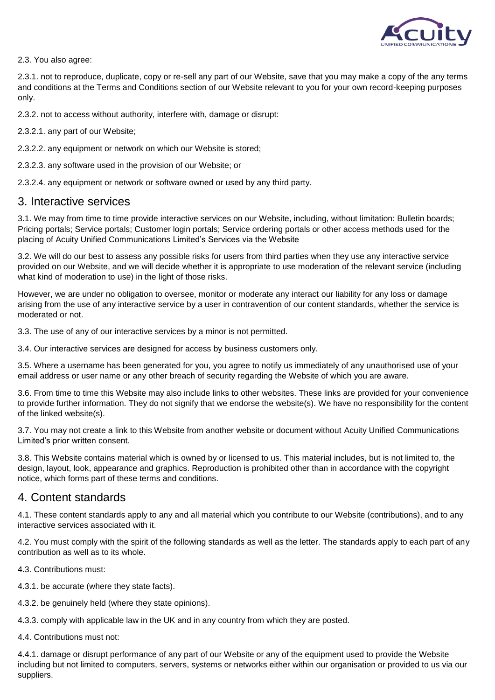

2.3. You also agree:

2.3.1. not to reproduce, duplicate, copy or re-sell any part of our Website, save that you may make a copy of the any terms and conditions at the Terms and Conditions section of our Website relevant to you for your own record-keeping purposes only.

2.3.2. not to access without authority, interfere with, damage or disrupt:

2.3.2.1. any part of our Website;

2.3.2.2. any equipment or network on which our Website is stored;

2.3.2.3. any software used in the provision of our Website; or

2.3.2.4. any equipment or network or software owned or used by any third party.

#### 3. Interactive services

3.1. We may from time to time provide interactive services on our Website, including, without limitation: Bulletin boards; Pricing portals; Service portals; Customer login portals; Service ordering portals or other access methods used for the placing of Acuity Unified Communications Limited's Services via the Website

3.2. We will do our best to assess any possible risks for users from third parties when they use any interactive service provided on our Website, and we will decide whether it is appropriate to use moderation of the relevant service (including what kind of moderation to use) in the light of those risks.

However, we are under no obligation to oversee, monitor or moderate any interact our liability for any loss or damage arising from the use of any interactive service by a user in contravention of our content standards, whether the service is moderated or not.

3.3. The use of any of our interactive services by a minor is not permitted.

3.4. Our interactive services are designed for access by business customers only.

3.5. Where a username has been generated for you, you agree to notify us immediately of any unauthorised use of your email address or user name or any other breach of security regarding the Website of which you are aware.

3.6. From time to time this Website may also include links to other websites. These links are provided for your convenience to provide further information. They do not signify that we endorse the website(s). We have no responsibility for the content of the linked website(s).

3.7. You may not create a link to this Website from another website or document without Acuity Unified Communications Limited's prior written consent.

3.8. This Website contains material which is owned by or licensed to us. This material includes, but is not limited to, the design, layout, look, appearance and graphics. Reproduction is prohibited other than in accordance with the copyright notice, which forms part of these terms and conditions.

#### 4. Content standards

4.1. These content standards apply to any and all material which you contribute to our Website (contributions), and to any interactive services associated with it.

4.2. You must comply with the spirit of the following standards as well as the letter. The standards apply to each part of any contribution as well as to its whole.

4.3. Contributions must:

4.3.1. be accurate (where they state facts).

4.3.2. be genuinely held (where they state opinions).

4.3.3. comply with applicable law in the UK and in any country from which they are posted.

4.4. Contributions must not:

4.4.1. damage or disrupt performance of any part of our Website or any of the equipment used to provide the Website including but not limited to computers, servers, systems or networks either within our organisation or provided to us via our suppliers.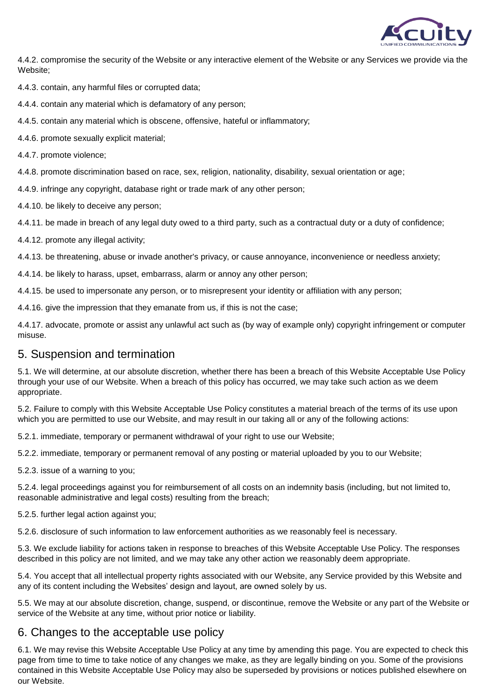

4.4.2. compromise the security of the Website or any interactive element of the Website or any Services we provide via the Website;

4.4.3. contain, any harmful files or corrupted data;

4.4.4. contain any material which is defamatory of any person;

4.4.5. contain any material which is obscene, offensive, hateful or inflammatory;

4.4.6. promote sexually explicit material;

4.4.7. promote violence;

4.4.8. promote discrimination based on race, sex, religion, nationality, disability, sexual orientation or age;

4.4.9. infringe any copyright, database right or trade mark of any other person;

4.4.10. be likely to deceive any person;

4.4.11. be made in breach of any legal duty owed to a third party, such as a contractual duty or a duty of confidence;

4.4.12. promote any illegal activity;

4.4.13. be threatening, abuse or invade another's privacy, or cause annoyance, inconvenience or needless anxiety;

4.4.14. be likely to harass, upset, embarrass, alarm or annoy any other person;

4.4.15. be used to impersonate any person, or to misrepresent your identity or affiliation with any person;

4.4.16. give the impression that they emanate from us, if this is not the case;

4.4.17. advocate, promote or assist any unlawful act such as (by way of example only) copyright infringement or computer misuse.

#### 5. Suspension and termination

5.1. We will determine, at our absolute discretion, whether there has been a breach of this Website Acceptable Use Policy through your use of our Website. When a breach of this policy has occurred, we may take such action as we deem appropriate.

5.2. Failure to comply with this Website Acceptable Use Policy constitutes a material breach of the terms of its use upon which you are permitted to use our Website, and may result in our taking all or any of the following actions:

5.2.1. immediate, temporary or permanent withdrawal of your right to use our Website;

5.2.2. immediate, temporary or permanent removal of any posting or material uploaded by you to our Website;

5.2.3. issue of a warning to you;

5.2.4. legal proceedings against you for reimbursement of all costs on an indemnity basis (including, but not limited to, reasonable administrative and legal costs) resulting from the breach;

5.2.5. further legal action against you;

5.2.6. disclosure of such information to law enforcement authorities as we reasonably feel is necessary.

5.3. We exclude liability for actions taken in response to breaches of this Website Acceptable Use Policy. The responses described in this policy are not limited, and we may take any other action we reasonably deem appropriate.

5.4. You accept that all intellectual property rights associated with our Website, any Service provided by this Website and any of its content including the Websites' design and layout, are owned solely by us.

5.5. We may at our absolute discretion, change, suspend, or discontinue, remove the Website or any part of the Website or service of the Website at any time, without prior notice or liability.

#### 6. Changes to the acceptable use policy

6.1. We may revise this Website Acceptable Use Policy at any time by amending this page. You are expected to check this page from time to time to take notice of any changes we make, as they are legally binding on you. Some of the provisions contained in this Website Acceptable Use Policy may also be superseded by provisions or notices published elsewhere on our Website.